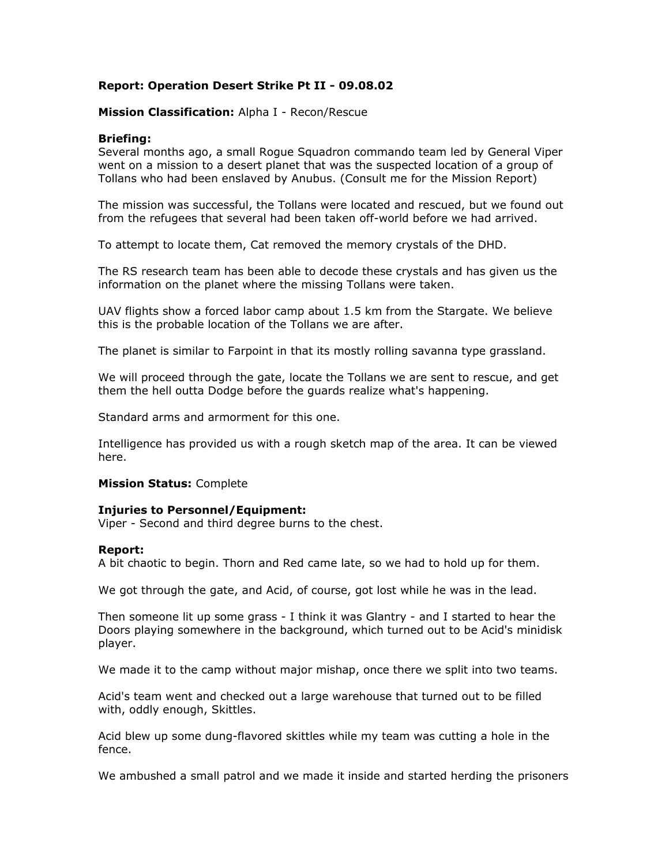# **Report: Operation Desert Strike Pt II - 09.08.02**

## **Mission Classification:** Alpha I - Recon/Rescue

### **Briefing:**

Several months ago, a small Rogue Squadron commando team led by General Viper went on a mission to a desert planet that was the suspected location of a group of Tollans who had been enslaved by Anubus. (Consult me for the Mission Report)

The mission was successful, the Tollans were located and rescued, but we found out from the refugees that several had been taken off-world before we had arrived.

To attempt to locate them, Cat removed the memory crystals of the DHD.

The RS research team has been able to decode these crystals and has given us the information on the planet where the missing Tollans were taken.

UAV flights show a forced labor camp about 1.5 km from the Stargate. We believe this is the probable location of the Tollans we are after.

The planet is similar to Farpoint in that its mostly rolling savanna type grassland.

We will proceed through the gate, locate the Tollans we are sent to rescue, and get them the hell outta Dodge before the guards realize what's happening.

Standard arms and armorment for this one.

Intelligence has provided us with a rough sketch map of the area. It can be viewed [here.](http://viper8.l33t.ca/rs/map1.htm)

#### **Mission Status:** Complete

#### **Injuries to Personnel/Equipment:**

Viper - Second and third degree burns to the chest.

#### **Report:**

A bit chaotic to begin. Thorn and Red came late, so we had to hold up for them.

We got through the gate, and Acid, of course, got lost while he was in the lead.

Then someone lit up some grass - I think it was Glantry - and I started to hear the Doors playing somewhere in the background, which turned out to be Acid's minidisk player.

We made it to the camp without major mishap, once there we split into two teams.

Acid's team went and checked out a large warehouse that turned out to be filled with, oddly enough, Skittles.

Acid blew up some dung-flavored skittles while my team was cutting a hole in the fence.

We ambushed a small patrol and we made it inside and started herding the prisoners